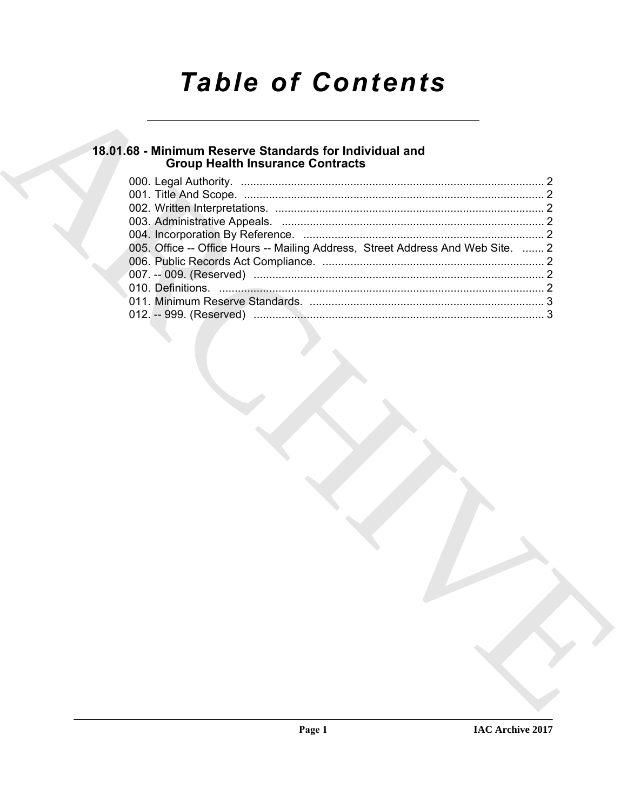# **Table of Contents**

### 18.01.68 - Minimum Reserve Standards for Individual and **Group Health Insurance Contracts**

| 005. Office -- Office Hours -- Mailing Address, Street Address And Web Site.  2 |  |
|---------------------------------------------------------------------------------|--|
|                                                                                 |  |
|                                                                                 |  |
|                                                                                 |  |
|                                                                                 |  |
|                                                                                 |  |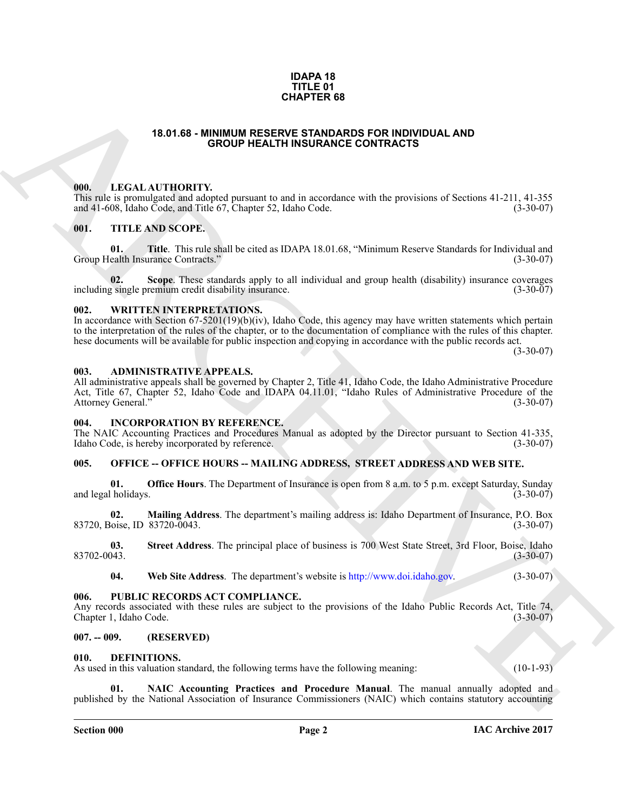#### **IDAPA 18 TITLE 01 CHAPTER 68**

#### **18.01.68 - MINIMUM RESERVE STANDARDS FOR INDIVIDUAL AND GROUP HEALTH INSURANCE CONTRACTS**

#### <span id="page-1-1"></span><span id="page-1-0"></span>**000. LEGAL AUTHORITY.**

This rule is promulgated and adopted pursuant to and in accordance with the provisions of Sections 41-211, 41-355 and 41-608, Idaho Code, and Title 67, Chapter 52, Idaho Code. (3-30-07) and 41-608, Idaho Code, and Title 67, Chapter 52, Idaho Code.

#### <span id="page-1-2"></span>**001. TITLE AND SCOPE.**

**01. Title**. This rule shall be cited as IDAPA 18.01.68, "Minimum Reserve Standards for Individual and ealth Insurance Contracts." (3-30-07) Group Health Insurance Contracts."

**02.** Scope. These standards apply to all individual and group health (disability) insurance coverages single premium credit disability insurance. including single premium credit disability insurance.

#### <span id="page-1-3"></span>**002. WRITTEN INTERPRETATIONS.**

In accordance with Section 67-5201(19)(b)(iv), Idaho Code, this agency may have written statements which pertain to the interpretation of the rules of the chapter, or to the documentation of compliance with the rules of this chapter. hese documents will be available for public inspection and copying in accordance with the public records act.

 $(3-30-07)$ 

### <span id="page-1-4"></span>**003. ADMINISTRATIVE APPEALS.**

**CHAPTER 68**<br> **CHAPTER 68**<br> **CHAPTER CHAPTER CONTRACTES CONTRACTES**<br> **CHAPTER CHAPTER CONTRACTES**<br> **CHAPTER CHAPTER CONTRACTES**<br> **CHAPTER CHAPTER CONTRACTES**<br> **CHAPTER CHAPTER CHAPTER CONTRACTES**<br> **CONTRACTES**<br> **CONTRACTE** All administrative appeals shall be governed by Chapter 2, Title 41, Idaho Code, the Idaho Administrative Procedure Act, Title 67, Chapter 52, Idaho Code and IDAPA 04.11.01, "Idaho Rules of Administrative Procedure of the Attorney General." (3-30-07)

#### <span id="page-1-5"></span>**004. INCORPORATION BY REFERENCE.**

The NAIC Accounting Practices and Procedures Manual as adopted by the Director pursuant to Section 41-335, Idaho Code, is hereby incorporated by reference. Idaho Code, is hereby incorporated by reference.

#### <span id="page-1-6"></span>**005. OFFICE -- OFFICE HOURS -- MAILING ADDRESS, STREET ADDRESS AND WEB SITE.**

**01. Office Hours**. The Department of Insurance is open from 8 a.m. to 5 p.m. except Saturday, Sunday (1-30-07) and legal holidays.

**02. Mailing Address**. The department's mailing address is: Idaho Department of Insurance, P.O. Box 83720, Boise, ID 83720-0043. (3-30-07)

**03.** Street Address. The principal place of business is 700 West State Street, 3rd Floor, Boise, Idaho (3-30-07) 83702-0043. (3-30-07)

**04. Web Site Address**. The department's website is http://www.doi.idaho.gov. (3-30-07)

#### <span id="page-1-7"></span>**006. PUBLIC RECORDS ACT COMPLIANCE.**

Any records associated with these rules are subject to the provisions of the Idaho Public Records Act, Title 74, Chapter 1, Idaho Code. (3-30-07) Chapter 1, Idaho Code.

#### <span id="page-1-8"></span>**007. -- 009. (RESERVED)**

#### <span id="page-1-10"></span><span id="page-1-9"></span>**010. DEFINITIONS.**

As used in this valuation standard, the following terms have the following meaning: (10-1-93)

<span id="page-1-11"></span>**NAIC Accounting Practices and Procedure Manual.** The manual annually adopted and published by the National Association of Insurance Commissioners (NAIC) which contains statutory accounting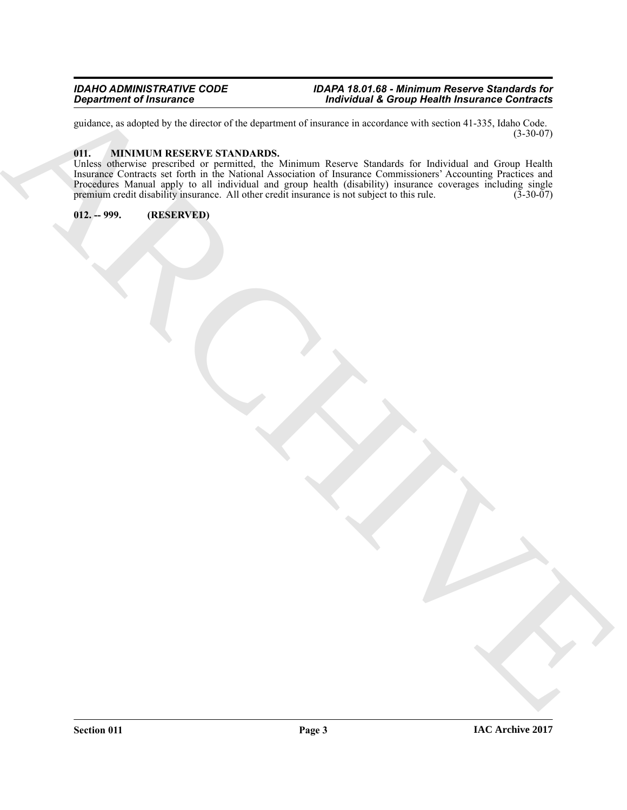#### *IDAHO ADMINISTRATIVE CODE IDAPA 18.01.68 - Minimum Reserve Standards for Department of Insurance Individual & Group Health Insurance Contracts*

guidance, as adopted by the director of the department of insurance in accordance with section 41-335, Idaho Code. (3-30-07)

### <span id="page-2-2"></span><span id="page-2-0"></span>**011. MINIMUM RESERVE STANDARDS.**

Equipment of humanics<br>
and a substitute research is realized to mean on a substitute relation of the state of the state of the state<br>
the state of the state relation of the state of the state of the state of the state of t Unless otherwise prescribed or permitted, the Minimum Reserve Standards for Individual and Group Health Insurance Contracts set forth in the National Association of Insurance Commissioners' Accounting Practices and Procedures Manual apply to all individual and group health (disability) insurance coverages including single premium credit disability insurance. All other credit insurance is not subject to this rule. (3-30-07) premium credit disability insurance. All other credit insurance is not subject to this rule.

<span id="page-2-1"></span>**012. -- 999. (RESERVED)**